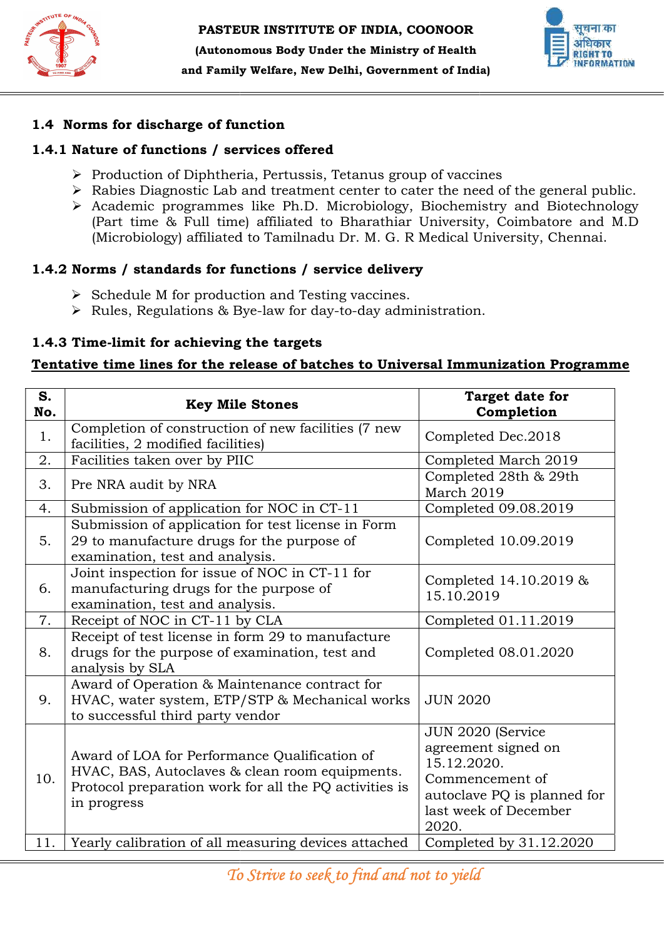



#### 1.4 Norms for discharge of function

## 1.4.1 Nature of functions / services offered

- $\triangleright$  Production of Diphtheria, Pertussis, Tetanus group of vaccines
- $\triangleright$  Rabies Diagnostic Lab and treatment center to cater the need of the general public.
- Academic programmes like Ph.D. Microbiology, Biochemistry and Biotechnology (Part time & Full time) affiliated to Bharathiar University, Coimbatore and M.D (Part time & Full time) affiliated to Bharathiar University, Coimbatore and M.D<br>(Microbiology) affiliated to Tamilnadu Dr. M. G. R Medical University, Chennai.

# 1.4.2 Norms / standards for functions / service delivery

- $\triangleright$  Schedule M for production and Testing vaccines.
- → Schedule M for production and Testing vaccines.<br>→ Rules, Regulations & Bye-law for day-to-day administration.

# 1.4.3 Time-limit for achieving the targets

# 1.4.3 Time-limit for achieving the targets<br>Tentative time lines for the release of batches to Universal Immunization Programme

|           | 1.4.1 Nature of functions / services offered                                                                                                                                                                                                                                                                                                                                                                                          |                                                                                                                                             |
|-----------|---------------------------------------------------------------------------------------------------------------------------------------------------------------------------------------------------------------------------------------------------------------------------------------------------------------------------------------------------------------------------------------------------------------------------------------|---------------------------------------------------------------------------------------------------------------------------------------------|
|           |                                                                                                                                                                                                                                                                                                                                                                                                                                       |                                                                                                                                             |
|           | $\triangleright$ Production of Diphtheria, Pertussis, Tetanus group of vaccines<br>$\triangleright$ Rabies Diagnostic Lab and treatment center to cater the need of the general pub<br>> Academic programmes like Ph.D. Microbiology, Biochemistry and Biotechnol<br>(Part time & Full time) affiliated to Bharathiar University, Coimbatore and M<br>(Microbiology) affiliated to Tamilnadu Dr. M. G. R Medical University, Chennai. |                                                                                                                                             |
|           | 1.4.2 Norms / standards for functions / service delivery                                                                                                                                                                                                                                                                                                                                                                              |                                                                                                                                             |
|           | $\triangleright$ Schedule M for production and Testing vaccines.<br>$\triangleright$ Rules, Regulations & Bye-law for day-to-day administration.                                                                                                                                                                                                                                                                                      |                                                                                                                                             |
|           | 1.4.3 Time-limit for achieving the targets<br>Tentative time lines for the release of batches to Universal Immunization Programm                                                                                                                                                                                                                                                                                                      |                                                                                                                                             |
| S.<br>No. | <b>Key Mile Stones</b>                                                                                                                                                                                                                                                                                                                                                                                                                | Target date for<br>Completion                                                                                                               |
| 1.        | Completion of construction of new facilities (7 new<br>facilities, 2 modified facilities)                                                                                                                                                                                                                                                                                                                                             | Completed Dec.2018                                                                                                                          |
| 2.        | Facilities taken over by PIIC                                                                                                                                                                                                                                                                                                                                                                                                         | Completed March 2019                                                                                                                        |
| 3.        | Pre NRA audit by NRA                                                                                                                                                                                                                                                                                                                                                                                                                  | Completed 28th & 29th<br>March 2019                                                                                                         |
| 4.        | Submission of application for NOC in CT-11                                                                                                                                                                                                                                                                                                                                                                                            | Completed 09.08.2019                                                                                                                        |
| 5.        | Submission of application for test license in Form<br>29 to manufacture drugs for the purpose of<br>examination, test and analysis.                                                                                                                                                                                                                                                                                                   | Completed 10.09.2019                                                                                                                        |
| 6.        | Joint inspection for issue of NOC in CT-11 for<br>manufacturing drugs for the purpose of<br>examination, test and analysis.                                                                                                                                                                                                                                                                                                           | Completed 14.10.2019 &<br>15.10.2019                                                                                                        |
| 7.        | Receipt of NOC in CT-11 by CLA                                                                                                                                                                                                                                                                                                                                                                                                        | Completed 01.11.2019                                                                                                                        |
| 8.        | Receipt of test license in form 29 to manufacture<br>drugs for the purpose of examination, test and<br>analysis by SLA                                                                                                                                                                                                                                                                                                                | Completed 08.01.2020                                                                                                                        |
| 9.        | Award of Operation & Maintenance contract for<br>HVAC, water system, ETP/STP & Mechanical works<br>to successful third party vendor                                                                                                                                                                                                                                                                                                   | <b>JUN 2020</b>                                                                                                                             |
| 10.       | Award of LOA for Performance Qualification of<br>HVAC, BAS, Autoclaves & clean room equipments.<br>Protocol preparation work for all the PQ activities is<br>in progress                                                                                                                                                                                                                                                              | JUN 2020 (Service<br>agreement signed on<br>15.12.2020.<br>Commencement of<br>autoclave PQ is planned for<br>last week of December<br>2020. |
| 11.       | Yearly calibration of all measuring devices attached                                                                                                                                                                                                                                                                                                                                                                                  | Completed by $31.12.2020$                                                                                                                   |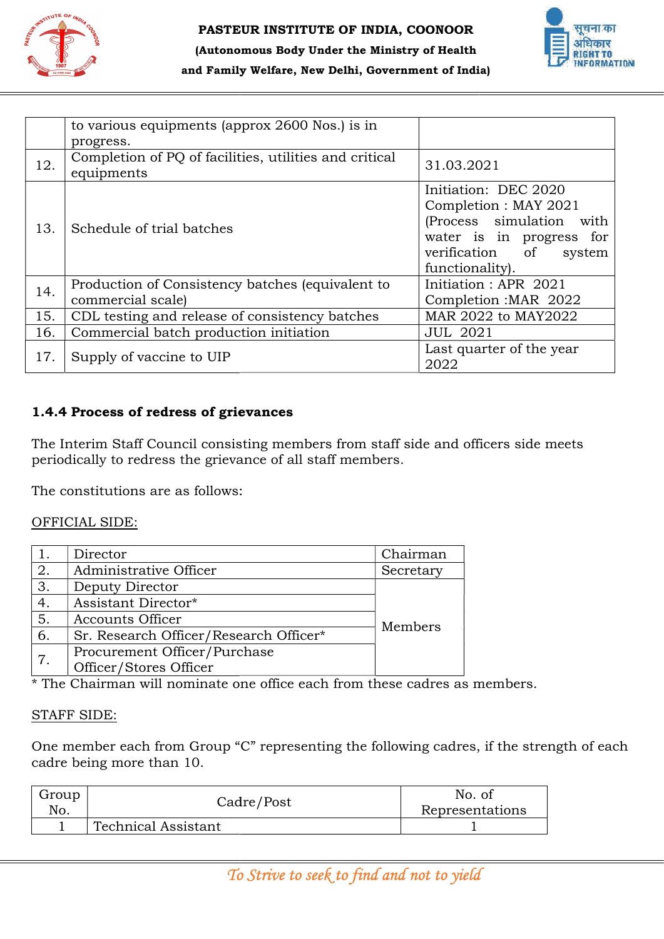



#### (Autonomous Body Under the Ministry of Health and Family Welfare, New Delhi, Government of India)

|              | to various equipments (approx 2600 Nos.) is in<br>progress.                                                           |           |                 |                                                                                                                                                                        |
|--------------|-----------------------------------------------------------------------------------------------------------------------|-----------|-----------------|------------------------------------------------------------------------------------------------------------------------------------------------------------------------|
| 12.          | Completion of PQ of facilities, utilities and critical<br>equipments                                                  |           | 31.03.2021      |                                                                                                                                                                        |
| 13.          | Schedule of trial batches                                                                                             |           |                 | Initiation: DEC 2020<br>Completion : MAY 2021<br>(Process simulation<br>with<br>water is in progress for<br>verification<br><sub>of</sub><br>system<br>functionality). |
| 14.          | Production of Consistency batches (equivalent to<br>commercial scale)                                                 |           |                 | Initiation: APR 2021<br>Completion: MAR 2022                                                                                                                           |
| 15.          | CDL testing and release of consistency batches                                                                        |           |                 | MAR 2022 to MAY2022                                                                                                                                                    |
| 16.          | Commercial batch production initiation                                                                                |           | <b>JUL 2021</b> |                                                                                                                                                                        |
| 17.          | Supply of vaccine to UIP                                                                                              |           | 2022            | Last quarter of the year                                                                                                                                               |
|              | periodically to redress the grievance of all staff members.<br>The constitutions are as follows:<br>OFFICIAL SIDE:    |           |                 |                                                                                                                                                                        |
| 1.           | Director                                                                                                              | Chairman  |                 |                                                                                                                                                                        |
| 2.           | Administrative Officer                                                                                                | Secretary |                 |                                                                                                                                                                        |
| 3.           | Deputy Director                                                                                                       |           |                 |                                                                                                                                                                        |
| 4.           | Assistant Director*                                                                                                   |           |                 |                                                                                                                                                                        |
| 5.           | <b>Accounts Officer</b>                                                                                               | Members   |                 |                                                                                                                                                                        |
| 6.           | Sr. Research Officer/Research Officer*                                                                                |           |                 |                                                                                                                                                                        |
| 7.           | Procurement Officer/Purchase                                                                                          |           |                 |                                                                                                                                                                        |
|              | Officer/Stores Officer                                                                                                |           |                 |                                                                                                                                                                        |
|              | * The Chairman will nominate one office each from these cadres as members.                                            |           |                 |                                                                                                                                                                        |
|              | <b>STAFF SIDE:</b>                                                                                                    |           |                 |                                                                                                                                                                        |
|              | One member each from Group "C" representing the following cadres, if the strength of eac<br>cadre being more than 10. |           |                 |                                                                                                                                                                        |
| Group<br>No. | Cadre/Post                                                                                                            |           |                 | No. of<br>Representations                                                                                                                                              |
| 1            | <b>Technical Assistant</b>                                                                                            |           |                 | 1                                                                                                                                                                      |
|              |                                                                                                                       |           |                 |                                                                                                                                                                        |
|              | To Strive to seek to find and not to yield                                                                            |           |                 |                                                                                                                                                                        |

## 1.4.4 Process of redress of grievances of grievances

#### OFFICIAL SIDE:

|    | periodically to redress the grievance of all staff members.                               |           |  |
|----|-------------------------------------------------------------------------------------------|-----------|--|
|    | The constitutions are as follows:                                                         |           |  |
|    | OFFICIAL SIDE:                                                                            |           |  |
| 1. | Director                                                                                  | Chairman  |  |
| 2. | Administrative Officer                                                                    | Secretary |  |
| 3. | Deputy Director                                                                           |           |  |
| 4. | Assistant Director*                                                                       |           |  |
| 5. | Accounts Officer                                                                          |           |  |
| 6. | Sr. Research Officer/Research Officer*                                                    | Members   |  |
|    | Procurement Officer/Purchase                                                              |           |  |
| 7. | Officer/Stores Officer                                                                    |           |  |
|    | * The Chairman will nominate one office each from these cadres as members.                |           |  |
|    | <b>STAFF SIDE:</b>                                                                        |           |  |
|    | One member each from Group "C" representing the following cadres, if the strength of each |           |  |

#### STAFF SIDE:

| Group | Cadre/Post                 | No. of          |
|-------|----------------------------|-----------------|
| No.   |                            | Representations |
|       | <b>Technical Assistant</b> |                 |